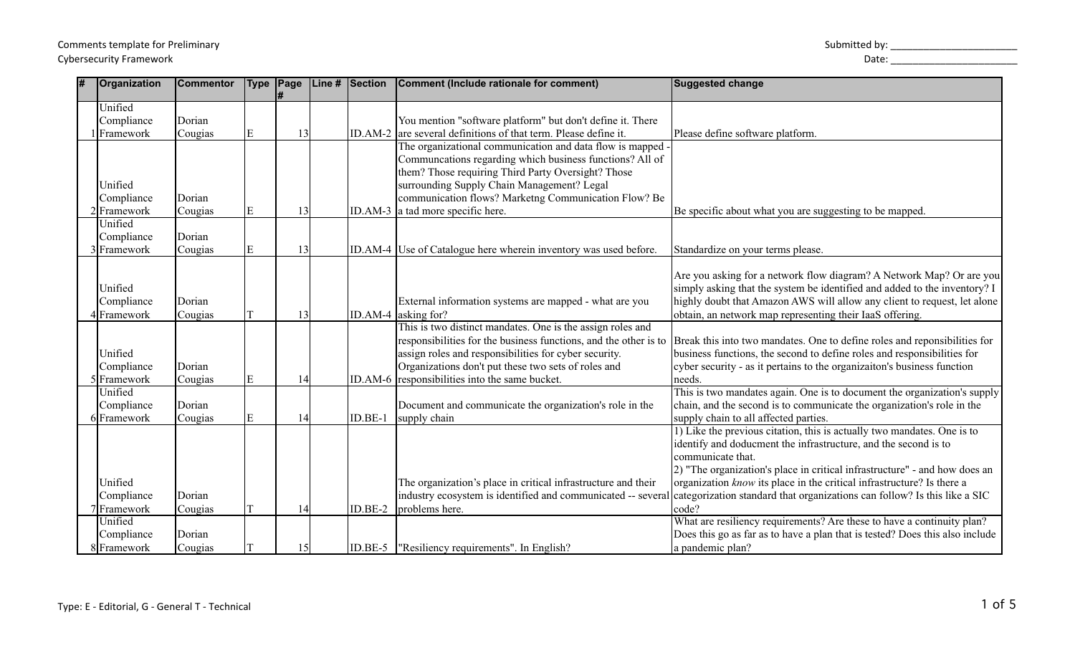## Type: E - Editorial, G - General T - Technical

| Comments template for Preliminary | Submitted by: |
|-----------------------------------|---------------|
| <b>Cybersecurity Framework</b>    | Date.         |

| Organization  | <b>Commentor</b> |   |    |           | Type   Page   Line #   Section   Comment (Include rationale for comment)                                                       | <b>Suggested change</b>                                                                                                                |
|---------------|------------------|---|----|-----------|--------------------------------------------------------------------------------------------------------------------------------|----------------------------------------------------------------------------------------------------------------------------------------|
| Unified       |                  |   |    |           |                                                                                                                                |                                                                                                                                        |
| Compliance    | Dorian           |   |    |           | You mention "software platform" but don't define it. There                                                                     |                                                                                                                                        |
| Framework     | Cougias          | E | 13 |           | ID.AM-2 are several definitions of that term. Please define it.                                                                | Please define software platform.                                                                                                       |
|               |                  |   |    |           | The organizational communication and data flow is mapped -                                                                     |                                                                                                                                        |
|               |                  |   |    |           | Communcations regarding which business functions? All of                                                                       |                                                                                                                                        |
|               |                  |   |    |           | them? Those requiring Third Party Oversight? Those                                                                             |                                                                                                                                        |
| Unified       |                  |   |    |           | surrounding Supply Chain Management? Legal                                                                                     |                                                                                                                                        |
| Compliance    | Dorian           |   |    |           | communication flows? Marketng Communication Flow? Be                                                                           |                                                                                                                                        |
| $2$ Framework | Cougias          | E | 13 |           | ID.AM-3 a tad more specific here.                                                                                              | Be specific about what you are suggesting to be mapped.                                                                                |
| Unified       |                  |   |    |           |                                                                                                                                |                                                                                                                                        |
| Compliance    | Dorian           |   |    |           |                                                                                                                                |                                                                                                                                        |
| 3 Framework   | Cougias          | E | 13 |           | ID.AM-4 Use of Catalogue here wherein inventory was used before.                                                               | Standardize on your terms please.                                                                                                      |
|               |                  |   |    |           |                                                                                                                                |                                                                                                                                        |
|               |                  |   |    |           |                                                                                                                                | Are you asking for a network flow diagram? A Network Map? Or are you                                                                   |
| Unified       |                  |   |    |           |                                                                                                                                | simply asking that the system be identified and added to the inventory? I                                                              |
| Compliance    | Dorian           |   |    |           | External information systems are mapped - what are you                                                                         | highly doubt that Amazon AWS will allow any client to request, let alone                                                               |
| lFramework    | Cougias          |   | 13 |           | ID.AM-4 asking for?                                                                                                            | obtain, an network map representing their IaaS offering.                                                                               |
|               |                  |   |    |           | This is two distinct mandates. One is the assign roles and<br>responsibilities for the business functions, and the other is to | Break this into two mandates. One to define roles and reponsibilities for                                                              |
| Unified       |                  |   |    |           | assign roles and responsibilities for cyber security.                                                                          | business functions, the second to define roles and responsibilities for                                                                |
| Compliance    | Dorian           |   |    |           | Organizations don't put these two sets of roles and                                                                            | cyber security - as it pertains to the organization's business function                                                                |
| 5 Framework   | Cougias          | E | 14 |           | ID.AM-6 responsibilities into the same bucket.                                                                                 | needs.                                                                                                                                 |
| Unified       |                  |   |    |           |                                                                                                                                | This is two mandates again. One is to document the organization's supply                                                               |
| Compliance    | Dorian           |   |    |           | Document and communicate the organization's role in the                                                                        | chain, and the second is to communicate the organization's role in the                                                                 |
| 6 Framework   | Cougias          | E | 14 | ID.BE-1   | supply chain                                                                                                                   | supply chain to all affected parties.                                                                                                  |
|               |                  |   |    |           |                                                                                                                                | 1) Like the previous citation, this is actually two mandates. One is to                                                                |
|               |                  |   |    |           |                                                                                                                                | identify and doducment the infrastructure, and the second is to                                                                        |
|               |                  |   |    |           |                                                                                                                                | communicate that.                                                                                                                      |
|               |                  |   |    |           |                                                                                                                                | 2) "The organization's place in critical infrastructure" - and how does an                                                             |
| Unified       |                  |   |    |           | The organization's place in critical infrastructure and their                                                                  | organization know its place in the critical infrastructure? Is there a                                                                 |
| Compliance    | Dorian           |   |    |           |                                                                                                                                | industry ecosystem is identified and communicated -- several categorization standard that organizations can follow? Is this like a SIC |
| 7 Framework   | Cougias          |   | 14 | ID.BE-2   | problems here.                                                                                                                 | code?                                                                                                                                  |
| Unified       |                  |   |    |           |                                                                                                                                | What are resiliency requirements? Are these to have a continuity plan?                                                                 |
| Compliance    | Dorian           |   |    |           |                                                                                                                                | Does this go as far as to have a plan that is tested? Does this also include                                                           |
| 8 Framework   | Cougias          |   | 15 | $ID.BE-5$ | "Resiliency requirements". In English?                                                                                         | a pandemic plan?                                                                                                                       |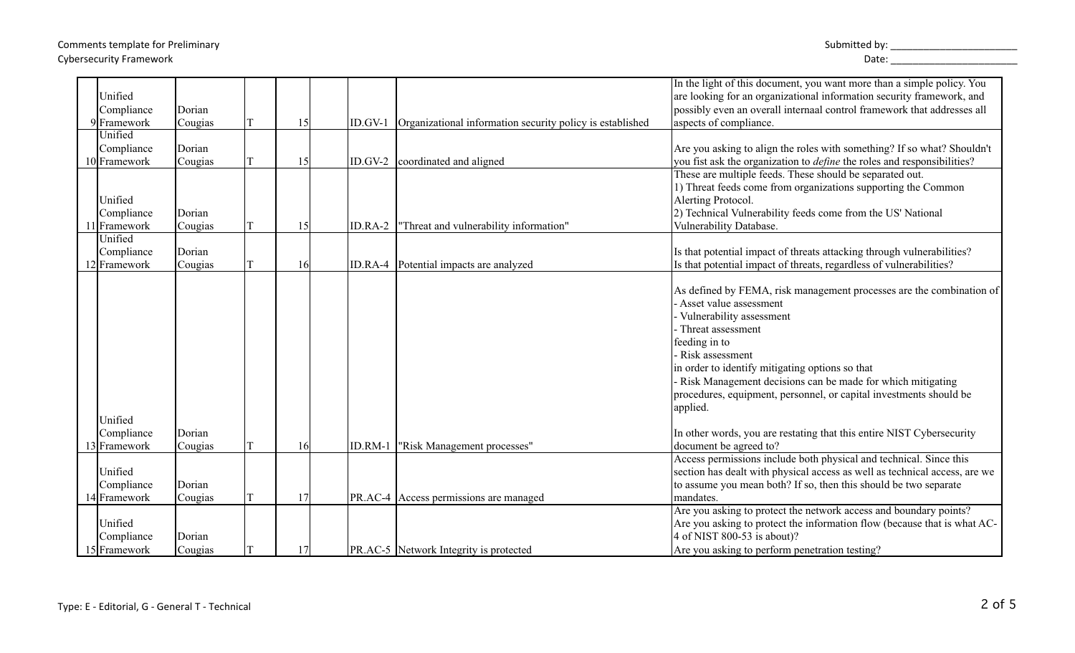## Comments template for Preliminary  $\blacksquare$ Cybersecurity Framework Date: \_\_\_\_\_\_\_\_\_\_\_\_\_\_\_\_\_\_\_\_\_\_\_

|                            |         |    |         |                                                                   | In the light of this document, you want more than a simple policy. You                                                                     |
|----------------------------|---------|----|---------|-------------------------------------------------------------------|--------------------------------------------------------------------------------------------------------------------------------------------|
| Unified                    |         |    |         |                                                                   | are looking for an organizational information security framework, and                                                                      |
| Compliance                 | Dorian  |    |         |                                                                   | possibly even an overall internaal control framework that addresses all                                                                    |
| 9Framework                 | Cougias | 15 |         | ID.GV-1 Organizational information security policy is established | aspects of compliance.                                                                                                                     |
| Unified                    |         |    |         |                                                                   |                                                                                                                                            |
| Compliance<br>10 Framework | Dorian  |    |         |                                                                   | Are you asking to align the roles with something? If so what? Shouldn't                                                                    |
|                            | Cougias | 15 |         | ID.GV-2 coordinated and aligned                                   | you fist ask the organization to <i>define</i> the roles and responsibilities?<br>These are multiple feeds. These should be separated out. |
|                            |         |    |         |                                                                   | 1) Threat feeds come from organizations supporting the Common                                                                              |
| Unified                    |         |    |         |                                                                   | Alerting Protocol.                                                                                                                         |
| Compliance                 | Dorian  |    |         |                                                                   | 2) Technical Vulnerability feeds come from the US' National                                                                                |
| 1 Framework                | Cougias | 15 | ID.RA-2 | "Threat and vulnerability information"                            | Vulnerability Database.                                                                                                                    |
| Unified                    |         |    |         |                                                                   |                                                                                                                                            |
| Compliance                 | Dorian  |    |         |                                                                   | Is that potential impact of threats attacking through vulnerabilities?                                                                     |
| 12 Framework               | Cougias | 16 |         | ID.RA-4 Potential impacts are analyzed                            | Is that potential impact of threats, regardless of vulnerabilities?                                                                        |
|                            |         |    |         |                                                                   |                                                                                                                                            |
|                            |         |    |         |                                                                   | As defined by FEMA, risk management processes are the combination of                                                                       |
|                            |         |    |         |                                                                   | - Asset value assessment                                                                                                                   |
|                            |         |    |         |                                                                   | - Vulnerability assessment                                                                                                                 |
|                            |         |    |         |                                                                   | - Threat assessment                                                                                                                        |
|                            |         |    |         |                                                                   | feeding in to                                                                                                                              |
|                            |         |    |         |                                                                   | - Risk assessment                                                                                                                          |
|                            |         |    |         |                                                                   | in order to identify mitigating options so that                                                                                            |
|                            |         |    |         |                                                                   | - Risk Management decisions can be made for which mitigating                                                                               |
|                            |         |    |         |                                                                   | procedures, equipment, personnel, or capital investments should be                                                                         |
|                            |         |    |         |                                                                   | applied.                                                                                                                                   |
| Unified                    |         |    |         |                                                                   |                                                                                                                                            |
| Compliance                 | Dorian  |    |         |                                                                   | In other words, you are restating that this entire NIST Cybersecurity                                                                      |
| 13 Framework               | Cougias | 16 |         | ID.RM-1   "Risk Management processes"                             | document be agreed to?                                                                                                                     |
|                            |         |    |         |                                                                   | Access permissions include both physical and technical. Since this                                                                         |
| Unified                    |         |    |         |                                                                   | section has dealt with physical access as well as technical access, are we                                                                 |
| Compliance                 | Dorian  |    |         |                                                                   | to assume you mean both? If so, then this should be two separate                                                                           |
| 14 Framework               | Cougias | 17 |         | PR.AC-4 Access permissions are managed                            | mandates.                                                                                                                                  |
|                            |         |    |         |                                                                   | Are you asking to protect the network access and boundary points?                                                                          |
| Unified                    |         |    |         |                                                                   | Are you asking to protect the information flow (because that is what AC-                                                                   |
| Compliance                 | Dorian  |    |         |                                                                   | 4 of NIST 800-53 is about)?                                                                                                                |
| 15 Framework               | Cougias | 17 |         | <b>PR.AC-5</b> Network Integrity is protected                     | Are you asking to perform penetration testing?                                                                                             |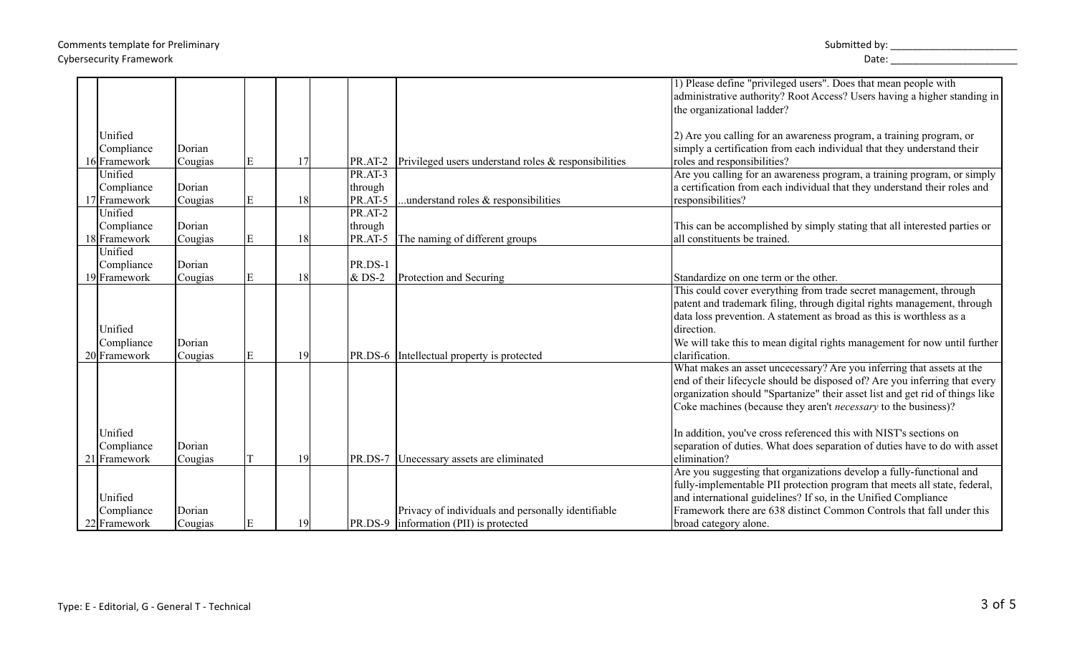## Comments template for Preliminary  $\blacksquare$ Cybersecurity Framework Date: \_\_\_\_\_\_\_\_\_\_\_\_\_\_\_\_\_\_\_\_\_\_\_

|              |         |   |    |                             |                                                      | 1) Please define "privileged users". Does that mean people with              |
|--------------|---------|---|----|-----------------------------|------------------------------------------------------|------------------------------------------------------------------------------|
|              |         |   |    |                             |                                                      | administrative authority? Root Access? Users having a higher standing in     |
|              |         |   |    |                             |                                                      | the organizational ladder?                                                   |
|              |         |   |    |                             |                                                      |                                                                              |
| Unified      |         |   |    |                             |                                                      | 2) Are you calling for an awareness program, a training program, or          |
| Compliance   |         |   |    |                             |                                                      | simply a certification from each individual that they understand their       |
|              | Dorian  |   |    |                             |                                                      |                                                                              |
| 16 Framework | Cougias | E | 17 | PR.AT-2                     | Privileged users understand roles & responsibilities | roles and responsibilities?                                                  |
| Unified      |         |   |    | $\overline{\text{PR.AT-3}}$ |                                                      | Are you calling for an awareness program, a training program, or simply      |
| Compliance   | Dorian  |   |    | through                     |                                                      | a certification from each individual that they understand their roles and    |
| 17 Framework | Cougias | E | 18 | PR.AT-5                     | understand roles & responsibilities                  | responsibilities?                                                            |
| Unified      |         |   |    | PR.AT-2                     |                                                      |                                                                              |
| Compliance   | Dorian  |   |    | through                     |                                                      | This can be accomplished by simply stating that all interested parties or    |
| 18 Framework | Cougias | E | 18 | PR.AT-5                     | The naming of different groups                       | all constituents be trained.                                                 |
| Unified      |         |   |    |                             |                                                      |                                                                              |
| Compliance   | Dorian  |   |    | PR.DS-1                     |                                                      |                                                                              |
| 19 Framework | Cougias | E | 18 | $\&$ DS-2                   | Protection and Securing                              | Standardize on one term or the other.                                        |
|              |         |   |    |                             |                                                      | This could cover everything from trade secret management, through            |
|              |         |   |    |                             |                                                      | patent and trademark filing, through digital rights management, through      |
|              |         |   |    |                             |                                                      | data loss prevention. A statement as broad as this is worthless as a         |
| Unified      |         |   |    |                             |                                                      | direction.                                                                   |
| Compliance   | Dorian  |   |    |                             |                                                      | We will take this to mean digital rights management for now until further    |
| 20 Framework | Cougias | E | 19 |                             | PR.DS-6 Intellectual property is protected           | clarification.                                                               |
|              |         |   |    |                             |                                                      | What makes an asset uncecessary? Are you inferring that assets at the        |
|              |         |   |    |                             |                                                      | end of their lifecycle should be disposed of? Are you inferring that every   |
|              |         |   |    |                             |                                                      | organization should "Spartanize" their asset list and get rid of things like |
|              |         |   |    |                             |                                                      |                                                                              |
|              |         |   |    |                             |                                                      | Coke machines (because they aren't <i>necessary</i> to the business)?        |
|              |         |   |    |                             |                                                      |                                                                              |
| Unified      |         |   |    |                             |                                                      | In addition, you've cross referenced this with NIST's sections on            |
| Compliance   | Dorian  |   |    |                             |                                                      | separation of duties. What does separation of duties have to do with asset   |
| 21 Framework | Cougias |   | 19 |                             | PR.DS-7 Unecessary assets are eliminated             | elimination?                                                                 |
|              |         |   |    |                             |                                                      | Are you suggesting that organizations develop a fully-functional and         |
|              |         |   |    |                             |                                                      | fully-implementable PII protection program that meets all state, federal,    |
| Unified      |         |   |    |                             |                                                      | and international guidelines? If so, in the Unified Compliance               |
| Compliance   | Dorian  |   |    |                             | Privacy of individuals and personally identifiable   | Framework there are 638 distinct Common Controls that fall under this        |
| 22 Framework | Cougias |   | 19 |                             | PR.DS-9  information (PII) is protected              | broad category alone.                                                        |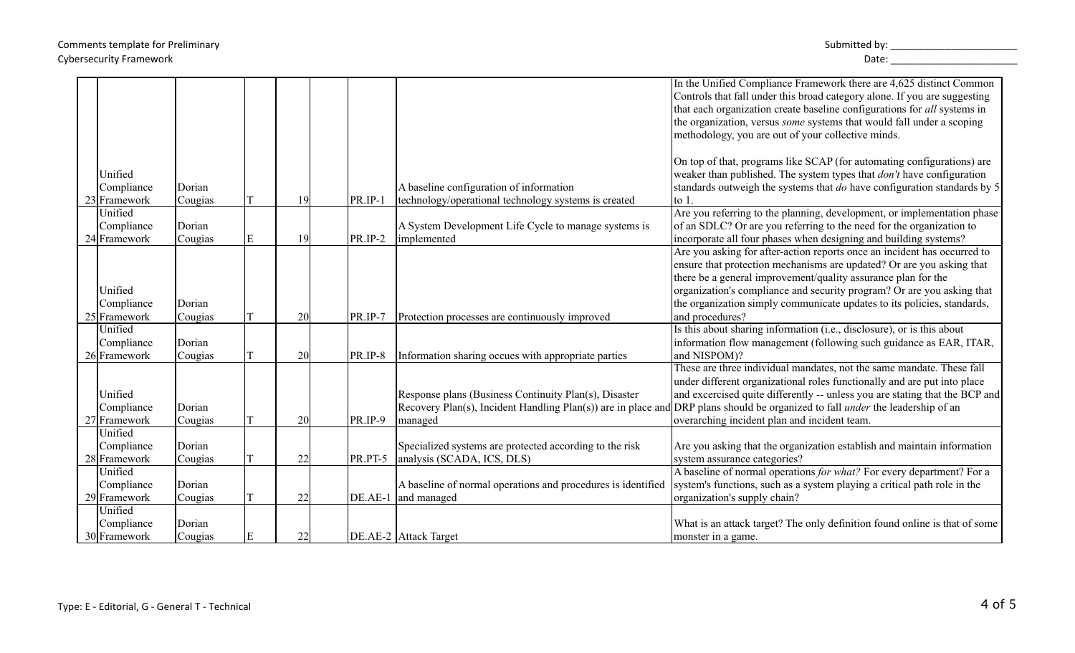|              |         |   |    |           |                                                              | In the Unified Compliance Framework there are 4,625 distinct Common                                                                   |
|--------------|---------|---|----|-----------|--------------------------------------------------------------|---------------------------------------------------------------------------------------------------------------------------------------|
|              |         |   |    |           |                                                              | Controls that fall under this broad category alone. If you are suggesting                                                             |
|              |         |   |    |           |                                                              | that each organization create baseline configurations for all systems in                                                              |
|              |         |   |    |           |                                                              | the organization, versus <i>some</i> systems that would fall under a scoping                                                          |
|              |         |   |    |           |                                                              | methodology, you are out of your collective minds.                                                                                    |
|              |         |   |    |           |                                                              |                                                                                                                                       |
|              |         |   |    |           |                                                              | On top of that, programs like SCAP (for automating configurations) are                                                                |
| Unified      |         |   |    |           |                                                              | weaker than published. The system types that <i>don't</i> have configuration                                                          |
| Compliance   | Dorian  |   |    |           | A baseline configuration of information                      | standards outweigh the systems that do have configuration standards by 5                                                              |
| 23 Framework | Cougias |   | 19 | PR.IP-1   | technology/operational technology systems is created         | $\frac{1}{10}$                                                                                                                        |
| Unified      |         |   |    |           |                                                              | Are you referring to the planning, development, or implementation phase                                                               |
| Compliance   | Dorian  |   |    |           | A System Development Life Cycle to manage systems is         | of an SDLC? Or are you referring to the need for the organization to                                                                  |
| 24 Framework | Cougias | E | 19 | $PR/IP-2$ | implemented                                                  | incorporate all four phases when designing and building systems?                                                                      |
|              |         |   |    |           |                                                              | Are you asking for after-action reports once an incident has occurred to                                                              |
|              |         |   |    |           |                                                              | ensure that protection mechanisms are updated? Or are you asking that                                                                 |
|              |         |   |    |           |                                                              | there be a general improvement/quality assurance plan for the                                                                         |
| Unified      |         |   |    |           |                                                              | organization's compliance and security program? Or are you asking that                                                                |
| Compliance   | Dorian  |   |    |           |                                                              | the organization simply communicate updates to its policies, standards,                                                               |
| 25 Framework | Cougias |   | 20 | PR.IP-7   | Protection processes are continuously improved               | and procedures?                                                                                                                       |
| Unified      |         |   |    |           |                                                              | Is this about sharing information (i.e., disclosure), or is this about                                                                |
| Compliance   | Dorian  |   |    |           |                                                              | information flow management (following such guidance as EAR, ITAR,                                                                    |
| 26 Framework | Cougias |   | 20 | PR.IP-8   | Information sharing occues with appropriate parties          | and NISPOM)?                                                                                                                          |
|              |         |   |    |           |                                                              | These are three individual mandates, not the same mandate. These fall                                                                 |
|              |         |   |    |           |                                                              | under different organizational roles functionally and are put into place                                                              |
| Unified      |         |   |    |           | Response plans (Business Continuity Plan(s), Disaster        | and excercised quite differently -- unless you are stating that the BCP and                                                           |
| Compliance   | Dorian  |   |    |           |                                                              | Recovery Plan(s), Incident Handling Plan(s)) are in place and DRP plans should be organized to fall <i>under</i> the leadership of an |
| 27 Framework | Cougias |   | 20 | PR.IP-9   | managed                                                      | overarching incident plan and incident team.                                                                                          |
| Unified      |         |   |    |           |                                                              |                                                                                                                                       |
| Compliance   | Dorian  |   |    |           | Specialized systems are protected according to the risk      | Are you asking that the organization establish and maintain information                                                               |
| 28 Framework | Cougias |   | 22 | PR.PT-5   | analysis (SCADA, ICS, DLS)                                   | system assurance categories?                                                                                                          |
| Unified      |         |   |    |           |                                                              | A baseline of normal operations for what? For every department? For a                                                                 |
| Compliance   | Dorian  |   |    |           | A baseline of normal operations and procedures is identified | system's functions, such as a system playing a critical path role in the                                                              |
| 29 Framework | Cougias |   | 22 | DE.AE-1   | and managed                                                  | organization's supply chain?                                                                                                          |
| Unified      |         |   |    |           |                                                              |                                                                                                                                       |
| Compliance   | Dorian  |   |    |           |                                                              | What is an attack target? The only definition found online is that of some                                                            |
| 30 Framework | Cougias | E | 22 |           | DE.AE-2 Attack Target                                        | monster in a game.                                                                                                                    |